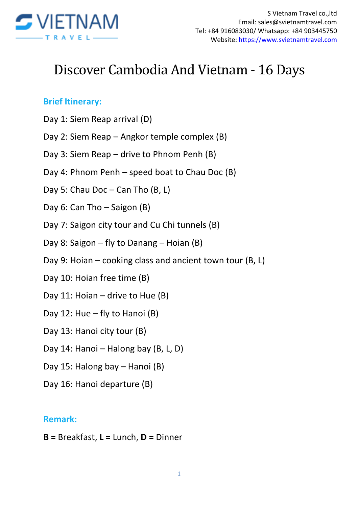

# Discover Cambodia And Vietnam - 16 Days

#### **Brief Itinerary:**

- Day 1: Siem Reap arrival (D)
- Day 2: Siem Reap Angkor temple complex (B)
- Day 3: Siem Reap drive to Phnom Penh (B)
- Day 4: Phnom Penh speed boat to Chau Doc (B)
- Day 5: Chau Doc Can Tho (B, L)
- Day 6: Can Tho Saigon (B)
- Day 7: Saigon city tour and Cu Chi tunnels (B)
- Day 8: Saigon fly to Danang Hoian (B)
- Day 9: Hoian cooking class and ancient town tour (B, L)
- Day 10: Hoian free time (B)
- Day 11: Hoian drive to Hue (B)
- Day 12: Hue fly to Hanoi (B)
- Day 13: Hanoi city tour (B)
- Day 14: Hanoi Halong bay (B, L, D)
- Day 15: Halong bay Hanoi (B)
- Day 16: Hanoi departure (B)

#### **Remark:**

**B =** Breakfast, **L =** Lunch, **D =** Dinner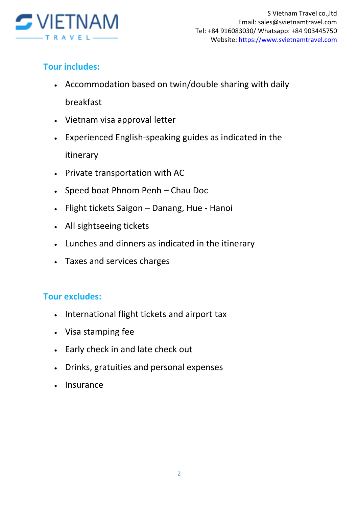

# **Tour includes:**

- Accommodation based on twin/double sharing with daily breakfast
- Vietnam visa approval letter
- Experienced English-speaking guides as indicated in the itinerary
- Private transportation with AC
- Speed boat Phnom Penh Chau Doc
- Flight tickets Saigon Danang, Hue Hanoi
- All sightseeing tickets
- Lunches and dinners as indicated in the itinerary
- Taxes and services charges

## **Tour excludes:**

- International flight tickets and airport tax
- Visa stamping fee
- Early check in and late check out
- Drinks, gratuities and personal expenses
- Insurance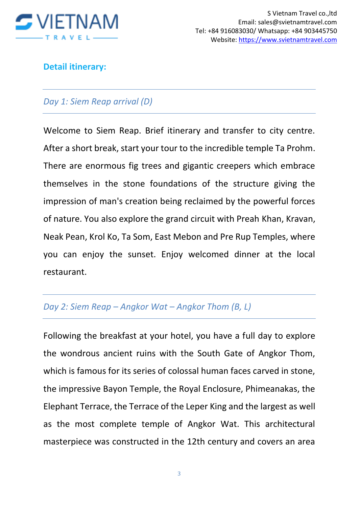

## **Detail itinerary:**

## *Day 1: Siem Reap arrival (D)*

Welcome to Siem Reap. Brief itinerary and transfer to city centre. After a short break, start your tour to the incredible temple Ta Prohm. There are enormous fig trees and gigantic creepers which embrace themselves in the stone foundations of the structure giving the impression of man's creation being reclaimed by the powerful forces of nature. You also explore the grand circuit with Preah Khan, Kravan, Neak Pean, Krol Ko, Ta Som, East Mebon and Pre Rup Temples, where you can enjoy the sunset. Enjoy welcomed dinner at the local restaurant.

#### *Day 2: Siem Reap – Angkor Wat – Angkor Thom (B, L)*

Following the breakfast at your hotel, you have a full day to explore the wondrous ancient ruins with the South Gate of Angkor Thom, which is famous for its series of colossal human faces carved in stone, the impressive Bayon Temple, the Royal Enclosure, Phimeanakas, the Elephant Terrace, the Terrace of the Leper King and the largest as well as the most complete temple of Angkor Wat. This architectural masterpiece was constructed in the 12th century and covers an area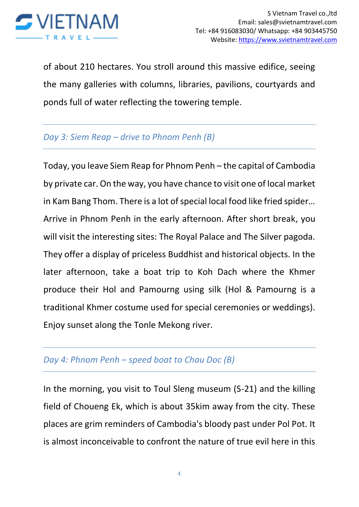

of about 210 hectares. You stroll around this massive edifice, seeing the many galleries with columns, libraries, pavilions, courtyards and ponds full of water reflecting the towering temple.

## *Day 3: Siem Reap – drive to Phnom Penh (B)*

Today, you leave Siem Reap for Phnom Penh – the capital of Cambodia by private car. On the way, you have chance to visit one of local market in Kam Bang Thom. There is a lot of special local food like fried spider… Arrive in Phnom Penh in the early afternoon. After short break, you will visit the interesting sites: The Royal Palace and The Silver pagoda. They offer a display of priceless Buddhist and historical objects. In the later afternoon, take a boat trip to Koh Dach where the Khmer produce their Hol and Pamourng using silk (Hol & Pamourng is a traditional Khmer costume used for special ceremonies or weddings). Enjoy sunset along the Tonle Mekong river.

## *Day 4: Phnom Penh – speed boat to Chau Doc (B)*

In the morning, you visit to Toul Sleng museum (S-21) and the killing field of Choueng Ek, which is about 35kim away from the city. These places are grim reminders of Cambodia's bloody past under Pol Pot. It is almost inconceivable to confront the nature of true evil here in this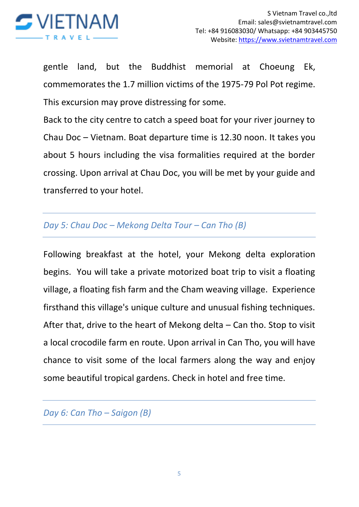

gentle land, but the Buddhist memorial at Choeung Ek, commemorates the 1.7 million victims of the 1975-79 Pol Pot regime. This excursion may prove distressing for some.

Back to the city centre to catch a speed boat for your river journey to Chau Doc – Vietnam. Boat departure time is 12.30 noon. It takes you about 5 hours including the visa formalities required at the border crossing. Upon arrival at Chau Doc, you will be met by your guide and transferred to your hotel.

## *Day 5: Chau Doc – Mekong Delta Tour – Can Tho (B)*

Following breakfast at the hotel, your Mekong delta exploration begins. You will take a private motorized boat trip to visit a floating village, a floating fish farm and the Cham weaving village. Experience firsthand this village's unique culture and unusual fishing techniques. After that, drive to the heart of Mekong delta – Can tho. Stop to visit a local crocodile farm en route. Upon arrival in Can Tho, you will have chance to visit some of the local farmers along the way and enjoy some beautiful tropical gardens. Check in hotel and free time.

*Day 6: Can Tho – Saigon (B)*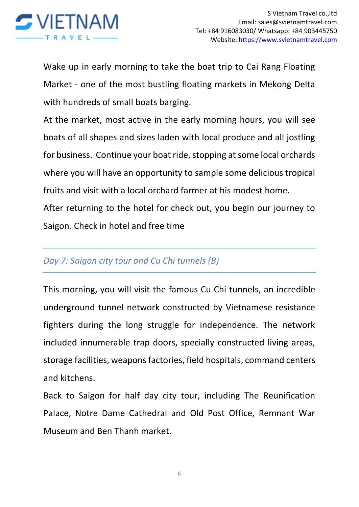

Wake up in early morning to take the boat trip to Cai Rang Floating Market - one of the most bustling floating markets in Mekong Delta with hundreds of small boats barging.

At the market, most active in the early morning hours, you will see boats of all shapes and sizes laden with local produce and all jostling for business. Continue your boat ride, stopping at some local orchards where you will have an opportunity to sample some delicious tropical fruits and visit with a local orchard farmer at his modest home.

After returning to the hotel for check out, you begin our journey to Saigon. Check in hotel and free time

## *Day 7: Saigon city tour and Cu Chi tunnels (B)*

This morning, you will visit the famous Cu Chi tunnels, an incredible underground tunnel network constructed by Vietnamese resistance fighters during the long struggle for independence. The network included innumerable trap doors, specially constructed living areas, storage facilities, weapons factories, field hospitals, command centers and kitchens.

Back to Saigon for half day city tour, including The Reunification Palace, Notre Dame Cathedral and Old Post Office, Remnant War Museum and Ben Thanh market.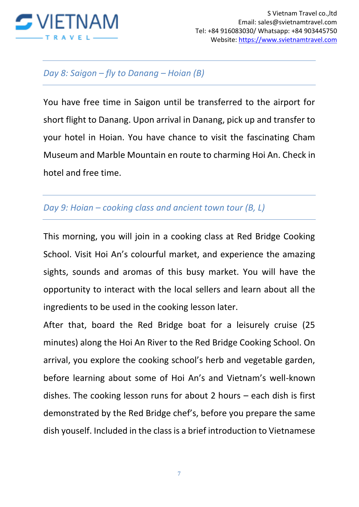

#### *Day 8: Saigon – fly to Danang – Hoian (B)*

You have free time in Saigon until be transferred to the airport for short flight to Danang. Upon arrival in Danang, pick up and transfer to your hotel in Hoian. You have chance to visit the fascinating Cham Museum and Marble Mountain en route to charming Hoi An. Check in hotel and free time.

## *Day 9: Hoian – cooking class and ancient town tour (B, L)*

This morning, you will join in a cooking class at Red Bridge Cooking School. Visit Hoi An's colourful market, and experience the amazing sights, sounds and aromas of this busy market. You will have the opportunity to interact with the local sellers and learn about all the ingredients to be used in the cooking lesson later.

After that, board the Red Bridge boat for a leisurely cruise (25 minutes) along the Hoi An River to the Red Bridge Cooking School. On arrival, you explore the cooking school's herb and vegetable garden, before learning about some of Hoi An's and Vietnam's well-known dishes. The cooking lesson runs for about 2 hours – each dish is first demonstrated by the Red Bridge chef's, before you prepare the same dish youself. Included in the class is a brief introduction to Vietnamese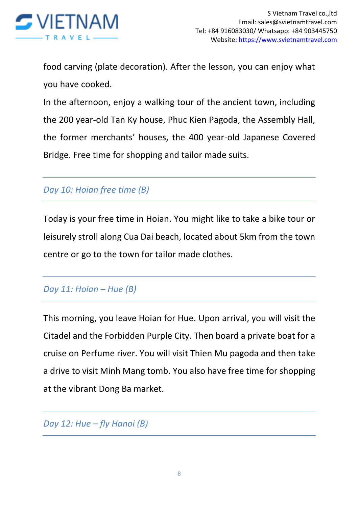

food carving (plate decoration). After the lesson, you can enjoy what you have cooked.

In the afternoon, enjoy a walking tour of the ancient town, including the 200 year-old Tan Ky house, Phuc Kien Pagoda, the Assembly Hall, the former merchants' houses, the 400 year-old Japanese Covered Bridge. Free time for shopping and tailor made suits.

# *Day 10: Hoian free time (B)*

Today is your free time in Hoian. You might like to take a bike tour or leisurely stroll along Cua Dai beach, located about 5km from the town centre or go to the town for tailor made clothes.

## *Day 11: Hoian – Hue (B)*

This morning, you leave Hoian for Hue. Upon arrival, you will visit the Citadel and the Forbidden Purple City. Then board a private boat for a cruise on Perfume river. You will visit Thien Mu pagoda and then take a drive to visit Minh Mang tomb. You also have free time for shopping at the vibrant Dong Ba market.

*Day 12: Hue – fly Hanoi (B)*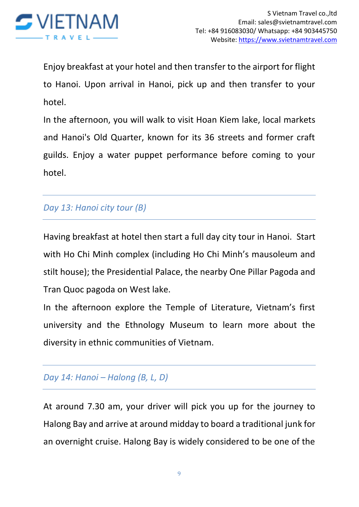

Enjoy breakfast at your hotel and then transfer to the airport for flight to Hanoi. Upon arrival in Hanoi, pick up and then transfer to your hotel.

In the afternoon, you will walk to visit Hoan Kiem lake, local markets and Hanoi's Old Quarter, known for its 36 streets and former craft guilds. Enjoy a water puppet performance before coming to your hotel.

# *Day 13: Hanoi city tour (B)*

Having breakfast at hotel then start a full day city tour in Hanoi. Start with Ho Chi Minh complex (including Ho Chi Minh's mausoleum and stilt house); the Presidential Palace, the nearby One Pillar Pagoda and Tran Quoc pagoda on West lake.

In the afternoon explore the Temple of Literature, Vietnam's first university and the Ethnology Museum to learn more about the diversity in ethnic communities of Vietnam.

# *Day 14: Hanoi – Halong (B, L, D)*

At around 7.30 am, your driver will pick you up for the journey to Halong Bay and arrive at around midday to board a traditional junk for an overnight cruise. Halong Bay is widely considered to be one of the